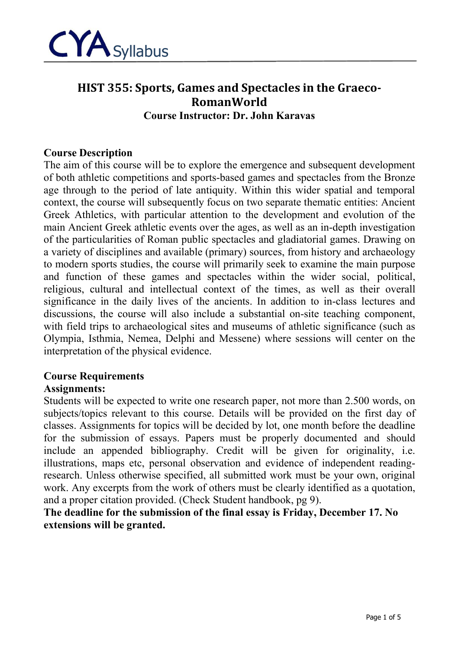

# **HIST 355: Sports, Games and Spectacles in the Graeco-RomanWorld Course Instructor: Dr. John Karavas**

#### **Course Description**

The aim of this course will be to explore the emergence and subsequent development of both athletic competitions and sports-based games and spectacles from the Bronze age through to the period of late antiquity. Within this wider spatial and temporal context, the course will subsequently focus on two separate thematic entities: Ancient Greek Athletics, with particular attention to the development and evolution of the main Ancient Greek athletic events over the ages, as well as an in-depth investigation of the particularities of Roman public spectacles and gladiatorial games. Drawing on a variety of disciplines and available (primary) sources, from history and archaeology to modern sports studies, the course will primarily seek to examine the main purpose and function of these games and spectacles within the wider social, political, religious, cultural and intellectual context of the times, as well as their overall significance in the daily lives of the ancients. In addition to in-class lectures and discussions, the course will also include a substantial on-site teaching component, with field trips to archaeological sites and museums of athletic significance (such as Olympia, Isthmia, Nemea, Delphi and Messene) where sessions will center on the interpretation of the physical evidence.

# **Course Requirements**

#### **Assignments:**

Students will be expected to write one research paper, not more than 2.500 words, on subjects/topics relevant to this course. Details will be provided on the first day of classes. Assignments for topics will be decided by lot, one month before the deadline for the submission of essays. Papers must be properly documented and should include an appended bibliography. Credit will be given for originality, i.e. illustrations, maps etc, personal observation and evidence of independent readingresearch. Unless otherwise specified, all submitted work must be your own, original work. Any excerpts from the work of others must be clearly identified as a quotation, and a proper citation provided. (Check Student handbook, pg 9).

**The deadline for the submission of the final essay is Friday, December 17. No extensions will be granted.**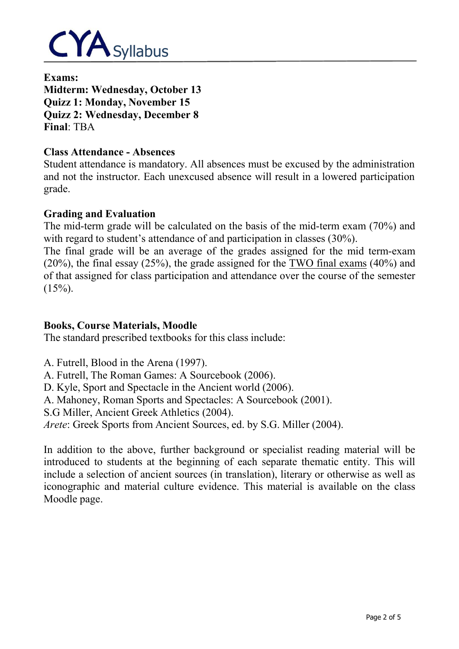

**Exams: Midterm: Wednesday, October 13 Quizz 1: Monday, November 15 Quizz 2: Wednesday, December 8 Final**: TBA

#### **Class Attendance - Absences**

Student attendance is mandatory. All absences must be excused by the administration and not the instructor. Each unexcused absence will result in a lowered participation grade.

#### **Grading and Evaluation**

The mid-term grade will be calculated on the basis of the mid-term exam (70%) and with regard to student's attendance of and participation in classes (30%).

The final grade will be an average of the grades assigned for the mid term-exam (20%), the final essay (25%), the grade assigned for the TWO final exams (40%) and of that assigned for class participation and attendance over the course of the semester  $(15\%)$ .

## **Books, Course Materials, Moodle**

The standard prescribed textbooks for this class include:

A. Futrell, Blood in the Arena (1997). A. Futrell, The Roman Games: A Sourcebook (2006). D. Kyle, Sport and Spectacle in the Ancient world (2006). A. Mahoney, Roman Sports and Spectacles: A Sourcebook (2001). S.G Miller, Ancient Greek Athletics (2004). *Arete*: Greek Sports from Ancient Sources, ed. by S.G. Miller (2004).

In addition to the above, further background or specialist reading material will be introduced to students at the beginning of each separate thematic entity. This will include a selection of ancient sources (in translation), literary or otherwise as well as iconographic and material culture evidence. This material is available on the class Moodle page.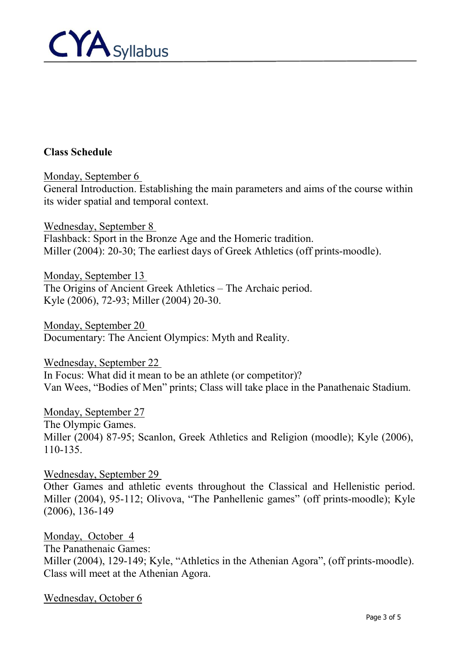

## **Class Schedule**

Monday, September 6 General Introduction. Establishing the main parameters and aims of the course within its wider spatial and temporal context.

Wednesday, September 8 Flashback: Sport in the Bronze Age and the Homeric tradition. Miller (2004): 20-30; The earliest days of Greek Athletics (off prints-moodle).

Monday, September 13 The Origins of Ancient Greek Athletics – The Archaic period. Kyle (2006), 72-93; Miller (2004) 20-30.

Monday, September 20 Documentary: The Ancient Olympics: Myth and Reality.

Wednesday, September 22 In Focus: What did it mean to be an athlete (or competitor)? Van Wees, "Bodies of Men" prints; Class will take place in the Panathenaic Stadium.

Monday, September 27 The Olympic Games. Miller (2004) 87-95; Scanlon, Greek Athletics and Religion (moodle); Kyle (2006), 110-135.

Wednesday, September 29 Other Games and athletic events throughout the Classical and Hellenistic period. Miller (2004), 95-112; Olivova, "The Panhellenic games" (off prints-moodle); Kyle (2006), 136-149

Monday, October 4 The Panathenaic Games: Miller (2004), 129-149; Kyle, "Athletics in the Athenian Agora", (off prints-moodle). Class will meet at the Athenian Agora.

Wednesday, October 6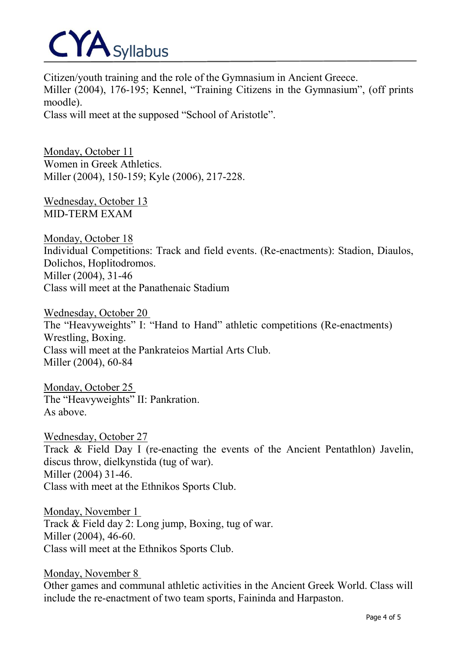# CYA Syllabus

Citizen/youth training and the role of the Gymnasium in Ancient Greece. Miller (2004), 176-195; Kennel, "Training Citizens in the Gymnasium", (off prints moodle). Class will meet at the supposed "School of Aristotle".

Monday, October 11 Women in Greek Athletics. Miller (2004), 150-159; Kyle (2006), 217-228.

Wednesday, October 13 MID-TERM EXAM

Monday, October 18 Individual Competitions: Track and field events. (Re-enactments): Stadion, Diaulos, Dolichos, Hoplitodromos. Miller (2004), 31-46 Class will meet at the Panathenaic Stadium

Wednesday, October 20 The "Heavyweights" I: "Hand to Hand" athletic competitions (Re-enactments) Wrestling, Boxing. Class will meet at the Pankrateios Martial Arts Club. Miller (2004), 60-84

Monday, October 25 The "Heavyweights" II: Pankration. As above.

Wednesday, October 27 Track & Field Day I (re-enacting the events of the Ancient Pentathlon) Javelin, discus throw, dielkynstida (tug of war). Miller (2004) 31-46. Class with meet at the Ethnikos Sports Club.

Monday, November 1 Track & Field day 2: Long jump, Boxing, tug of war. Miller (2004), 46-60. Class will meet at the Ethnikos Sports Club.

Monday, November 8

Other games and communal athletic activities in the Ancient Greek World. Class will include the re-enactment of two team sports, Faininda and Harpaston.